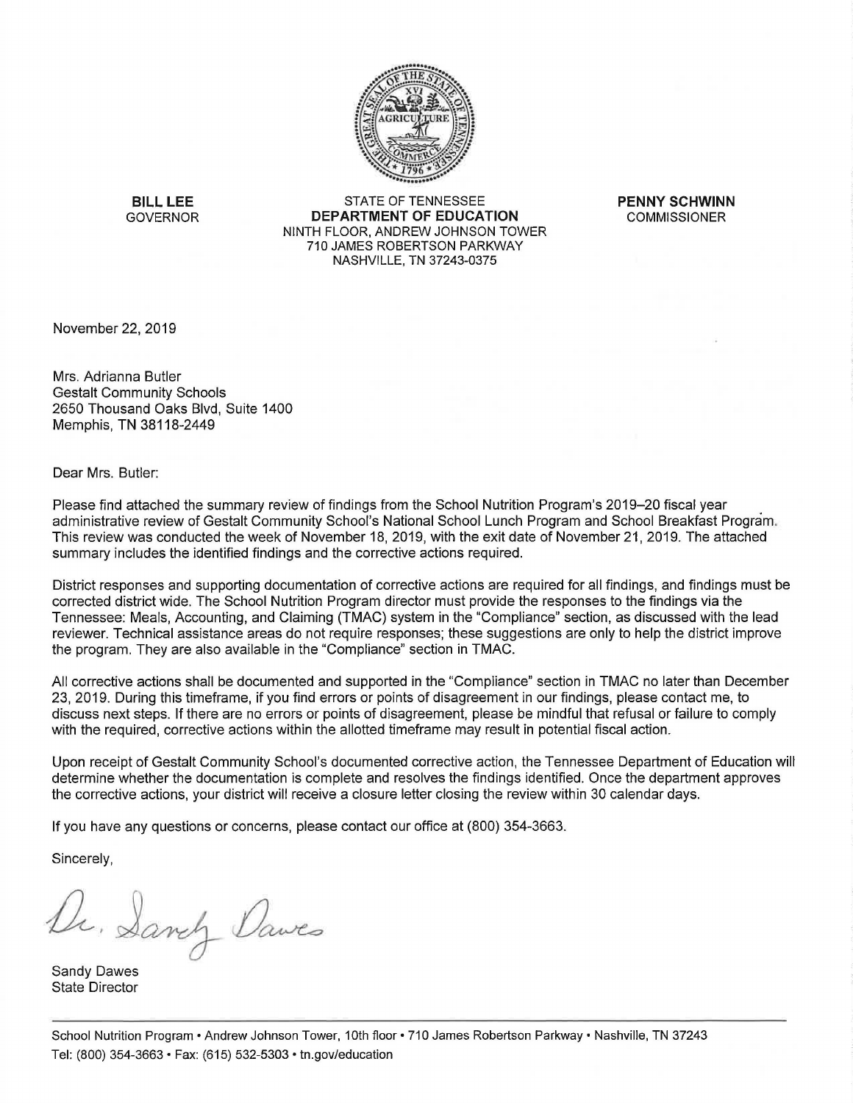

**BILL LEE** STATE OF TENNESSEE **PENNY SCHWINN**  GOVERNOR **DEPARTMENT OF EDUCATION** COMMISSIONER NINTH FLOOR, ANDREW JOHNSON TOWER 710 JAMES ROBERTSON PARKWAY NASHVILLE, TN 37243-0375

November 22, 2019

Mrs. Adrianna Butler Gestalt Community Schools 2650 Thousand Oaks Blvd, Suite 1400 Memphis, TN 38118-2449

Dear Mrs. Butler:

Please find attached the summary review of findings from the School Nutrition Program's 2019-20 fiscal year administrative review of Gestalt Community School's National School Lunch Program and School Breakfast Program. This review was conducted the week of November 18, 2019, with the exit date of November 21, 2019. The attached summary includes the identified findings and the corrective actions required.

District responses and supporting documentation of corrective actions are required for all findings, and findings must be corrected district wide. The School Nutrition Program director must provide the responses to the findings via the Tennessee: Meals, Accounting, and Claiming (TMAC) system in the "Compliance" section, as discussed with the lead reviewer. Technical assistance areas do not require responses; these suggestions are only to help the district improve the program. They are also available in the "Compliance" section in TMAC.

All corrective actions shall be documented and supported in the "Compliance" section in TMAC no later than December 23, 2019. During this timeframe, if you find errors or points of disagreement in our findings, please contact me, to discuss next steps. If there are no errors or points of disagreement, please be mindful that refusal or failure to comply with the required, corrective actions within the allotted timeframe may result in potential fiscal action.

Upon receipt of Gestalt Community School's documented corrective action, the Tennessee Department of Education will determine whether the documentation is complete and resolves the findings identified. Once the department approves the corrective actions, your district will receive a closure letter closing the review within 30 calendar days.

If you have any questions or concerns, please contact our office at (800) 354-3663.

Sincerely,

Dr. Sanch Dawes

Sandy Dawes State Director